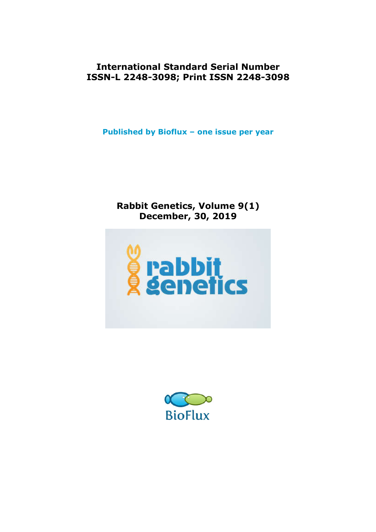**International Standard Serial Number ISSN-L 2248-3098; Print ISSN 2248-3098**

**Published by Bioflux – one issue per year**

# **Rabbit Genetics, Volume 9(1) December, 30, 2019**



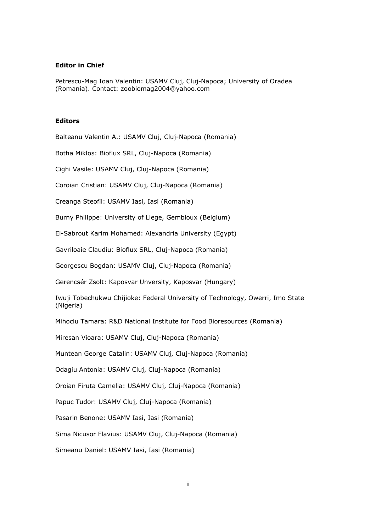#### **Editor in Chief**

Petrescu-Mag Ioan Valentin: USAMV Cluj, Cluj-Napoca; University of Oradea (Romania). Contact: zoobiomag2004@yahoo.com

## **Editors**

Balteanu Valentin A.: USAMV Cluj, Cluj-Napoca (Romania)

Botha Miklos: Bioflux SRL, Cluj-Napoca (Romania)

Cighi Vasile: USAMV Cluj, Cluj-Napoca (Romania)

Coroian Cristian: USAMV Cluj, Cluj-Napoca (Romania)

Creanga Steofil: USAMV Iasi, Iasi (Romania)

Burny Philippe: University of Liege, Gembloux (Belgium)

El-Sabrout Karim Mohamed: Alexandria University (Egypt)

Gavriloaie Claudiu: Bioflux SRL, Cluj-Napoca (Romania)

Georgescu Bogdan: USAMV Cluj, Cluj-Napoca (Romania)

Gerencsér Zsolt: Kaposvar Unversity, Kaposvar (Hungary)

Iwuji Tobechukwu Chijioke: Federal University of Technology, Owerri, Imo State (Nigeria)

Mihociu Tamara: R&D National Institute for Food Bioresources (Romania)

Miresan Vioara: USAMV Cluj, Cluj-Napoca (Romania)

Muntean George Catalin: USAMV Cluj, Cluj-Napoca (Romania)

Odagiu Antonia: USAMV Cluj, Cluj-Napoca (Romania)

Oroian Firuta Camelia: USAMV Cluj, Cluj-Napoca (Romania)

Papuc Tudor: USAMV Cluj, Cluj-Napoca (Romania)

Pasarin Benone: USAMV Iasi, Iasi (Romania)

Sima Nicusor Flavius: USAMV Cluj, Cluj-Napoca (Romania)

Simeanu Daniel: USAMV Iasi, Iasi (Romania)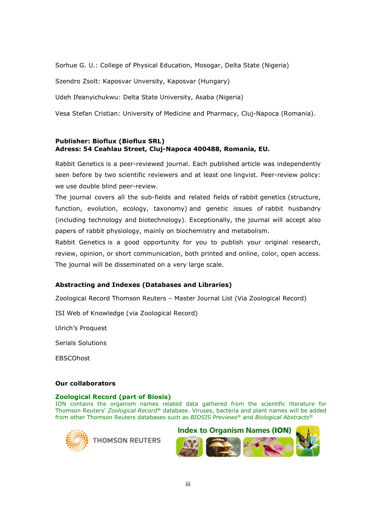Sorhue G. U.: College of Physical Education, Mosogar, Delta State (Nigeria)

Szendro Zsolt: Kaposvar Unversity, Kaposvar (Hungary)

Udeh Ifeanyichukwu: Delta State University, Asaba (Nigeria)

Vesa Stefan Cristian: University of Medicine and Pharmacy, Cluj-Napoca (Romania).

## **Publisher: Bioflux (Bioflux SRL) Adress: 54 Ceahlau Street, Cluj-Napoca 400488, Romania, EU.**

Rabbit Genetics is a peer-reviewed journal. Each published article was independently seen before by two scientific reviewers and at least one lingvist. Peer-review policy: we use double blind peer-review.

The journal covers all the sub-fields and related fields of rabbit genetics (structure, function, evolution, ecology, taxonomy) and genetic issues of rabbit husbandry (including technology and biotechnology). Exceptionally, the journal will accept also papers of rabbit physiology, mainly on biochemistry and metabolism.

Rabbit Genetics is a good opportunity for you to publish your original research, review, opinion, or short communication, both printed and online, color, open access. The journal will be disseminated on a very large scale.

### **Abstracting and Indexes (Databases and Libraries)**

Zoological Record Thomson Reuters – Master Journal List (Via Zoological Record)

ISI Web of Knowledge (via Zoological Record)

Ulrich's Proquest

Serials Solutions

**EBSCOhost** 

#### **Our collaborators**

### **Zoological Record (part of Biosis)**

ION contains the organism names related data gathered from the scientific literature for Thomson Reuters' *Zoological Record®* database. Viruses, bacteria and plant names will be added from other Thomson Reuters databases such as *BIOSIS Previews®* and *Biological Abstracts®*